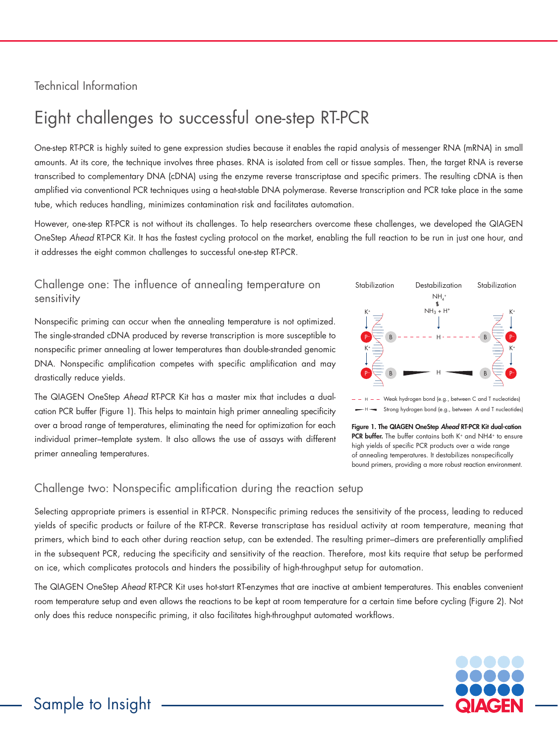### Technical Information

# Eight challenges to successful one-step RT-PCR

One-step RT-PCR is highly suited to gene expression studies because it enables the rapid analysis of messenger RNA (mRNA) in small amounts. At its core, the technique involves three phases. RNA is isolated from cell or tissue samples. Then, the target RNA is reverse transcribed to complementary DNA (cDNA) using the enzyme reverse transcriptase and specific primers. The resulting cDNA is then amplified via conventional PCR techniques using a heat-stable DNA polymerase. Reverse transcription and PCR take place in the same tube, which reduces handling, minimizes contamination risk and facilitates automation.

However, one-step RT-PCR is not without its challenges. To help researchers overcome these challenges, we developed the QIAGEN OneStep *Ahead* RT-PCR Kit. It has the fastest cycling protocol on the market, enabling the full reaction to be run in just one hour, and it addresses the eight common challenges to successful one-step RT-PCR.

#### Challenge one: The influence of annealing temperature on sensitivity

Nonspecific priming can occur when the annealing temperature is not optimized. The single-stranded cDNA produced by reverse transcription is more susceptible to nonspecific primer annealing at lower temperatures than double-stranded genomic DNA. Nonspecific amplification competes with specific amplification and may drastically reduce yields.

The QIAGEN OneStep *Ahead* RT-PCR Kit has a master mix that includes a dualcation PCR buffer (Figure 1). This helps to maintain high primer annealing specificity over a broad range of temperatures, eliminating the need for optimization for each individual primer–template system. It also allows the use of assays with different primer annealing temperatures.





Figure 1. The QIAGEN OneStep *Ahead* RT-PCR Kit dual-cation PCR buffer. The buffer contains both K<sup>+</sup> and NH4<sup>+</sup> to ensure high yields of specific PCR products over a wide range of annealing temperatures. It destabilizes nonspecifically bound primers, providing a more robust reaction environment.

#### Challenge two: Nonspecific amplification during the reaction setup

Selecting appropriate primers is essential in RT-PCR. Nonspecific priming reduces the sensitivity of the process, leading to reduced yields of specific products or failure of the RT-PCR. Reverse transcriptase has residual activity at room temperature, meaning that primers, which bind to each other during reaction setup, can be extended. The resulting primer–dimers are preferentially amplified in the subsequent PCR, reducing the specificity and sensitivity of the reaction. Therefore, most kits require that setup be performed on ice, which complicates protocols and hinders the possibility of high-throughput setup for automation.

The QIAGEN OneStep *Ahead* RT-PCR Kit uses hot-start RT-enzymes that are inactive at ambient temperatures. This enables convenient room temperature setup and even allows the reactions to be kept at room temperature for a certain time before cycling (Figure 2). Not only does this reduce nonspecific priming, it also facilitates high-throughput automated workflows.

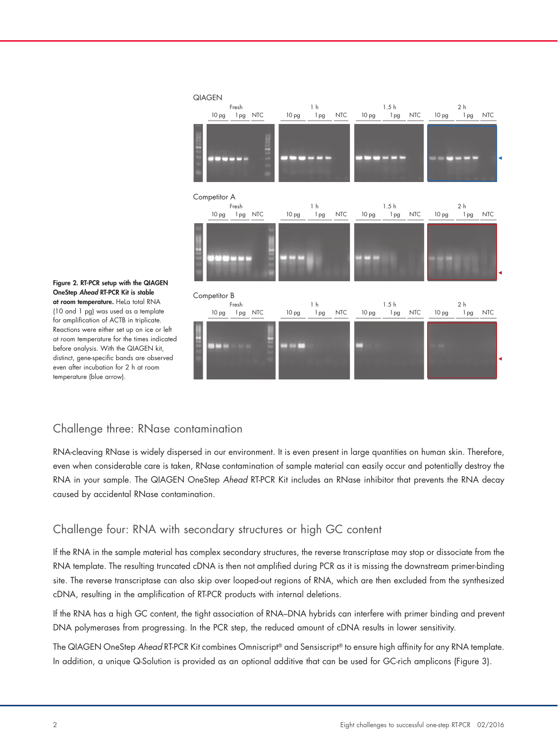

Figure 2. RT-PCR setup with the QIAGEN OneStep *Ahead* RT-PCR Kit is stable at room temperature. HeLa total RNA (10 and 1 pg) was used as a template for amplification of ACTB in triplicate. Reactions were either set up on ice or left at room temperature for the times indicated before analysis. With the QIAGEN kit, distinct, gene-specific bands are observed even after incubation for 2 h at room temperature (blue arrow).

### Challenge three: RNase contamination

RNA-cleaving RNase is widely dispersed in our environment. It is even present in large quantities on human skin. Therefore, even when considerable care is taken, RNase contamination of sample material can easily occur and potentially destroy the RNA in your sample. The QIAGEN OneStep *Ahead* RT-PCR Kit includes an RNase inhibitor that prevents the RNA decay caused by accidental RNase contamination.

#### Challenge four: RNA with secondary structures or high GC content

If the RNA in the sample material has complex secondary structures, the reverse transcriptase may stop or dissociate from the RNA template. The resulting truncated cDNA is then not amplified during PCR as it is missing the downstream primer-binding site. The reverse transcriptase can also skip over looped-out regions of RNA, which are then excluded from the synthesized cDNA, resulting in the amplification of RT-PCR products with internal deletions.

If the RNA has a high GC content, the tight association of RNA–DNA hybrids can interfere with primer binding and prevent DNA polymerases from progressing. In the PCR step, the reduced amount of cDNA results in lower sensitivity.

The QIAGEN OneStep *Ahead* RT-PCR Kit combines Omniscript® and Sensiscript® to ensure high affinity for any RNA template. In addition, a unique Q-Solution is provided as an optional additive that can be used for GC-rich amplicons (Figure 3).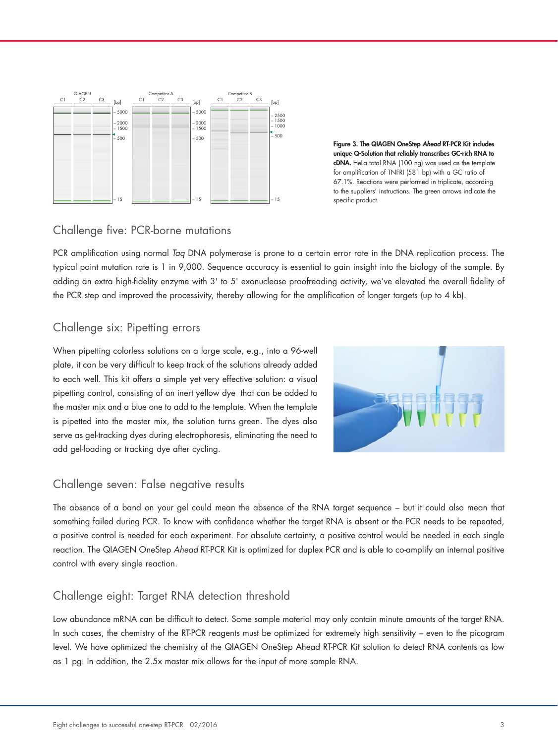

Figure 3. The QIAGEN OneStep *Ahead* RT-PCR Kit includes unique Q-Solution that reliably transcribes GC-rich RNA to cDNA. HeLa total RNA (100 ng) was used as the template for amplification of TNFRI (581 bp) with a GC ratio of 67.1%. Reactions were performed in triplicate, according to the suppliers' instructions. The green arrows indicate the specific product.

#### Challenge five: PCR-borne mutations

PCR amplification using normal *Taq* DNA polymerase is prone to a certain error rate in the DNA replication process. The typical point mutation rate is 1 in 9,000. Sequence accuracy is essential to gain insight into the biology of the sample. By adding an extra high-fidelity enzyme with 3' to 5' exonuclease proofreading activity, we've elevated the overall fidelity of the PCR step and improved the processivity, thereby allowing for the amplification of longer targets (up to 4 kb).

#### Challenge six: Pipetting errors

When pipetting colorless solutions on a large scale, e.g., into a 96-well plate, it can be very difficult to keep track of the solutions already added to each well. This kit offers a simple yet very effective solution: a visual pipetting control, consisting of an inert yellow dye that can be added to the master mix and a blue one to add to the template. When the template is pipetted into the master mix, the solution turns green. The dyes also serve as gel-tracking dyes during electrophoresis, eliminating the need to add gel-loading or tracking dye after cycling.



#### Challenge seven: False negative results

The absence of a band on your gel could mean the absence of the RNA target sequence – but it could also mean that something failed during PCR. To know with confidence whether the target RNA is absent or the PCR needs to be repeated, a positive control is needed for each experiment. For absolute certainty, a positive control would be needed in each single reaction. The QIAGEN OneStep *Ahead* RT-PCR Kit is optimized for duplex PCR and is able to co-amplify an internal positive control with every single reaction.

#### Challenge eight: Target RNA detection threshold

Low abundance mRNA can be difficult to detect. Some sample material may only contain minute amounts of the target RNA. In such cases, the chemistry of the RT-PCR reagents must be optimized for extremely high sensitivity – even to the picogram level. We have optimized the chemistry of the QIAGEN OneStep Ahead RT-PCR Kit solution to detect RNA contents as low as 1 pg. In addition, the 2.5x master mix allows for the input of more sample RNA.